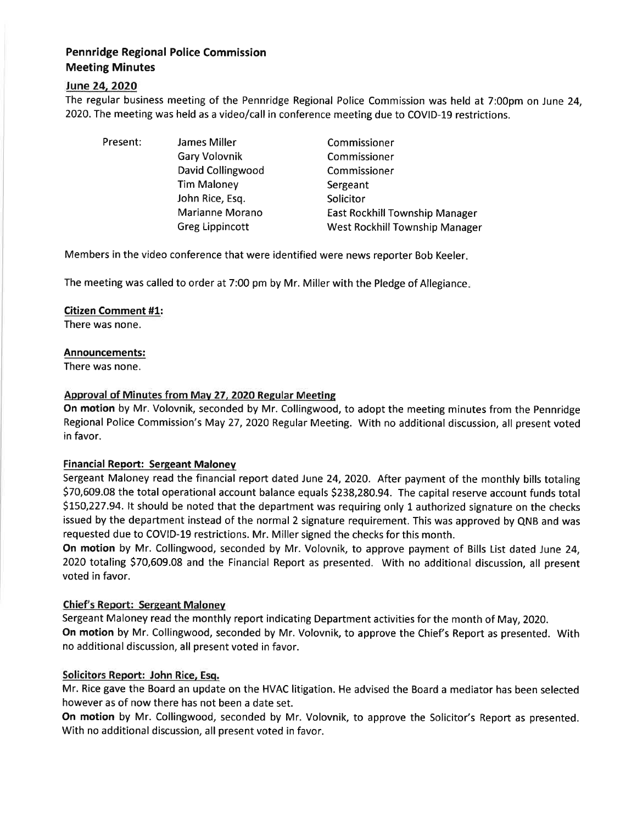# Pennridge Regional Police Commission Meeting Minutes

## lune24.2O2O

The regular business meeting of the Pennridge Regional Police Commission was held at 7:00pm on June 24, 2020. The meeting was held as a video/call in conference meeting due to COVID-19 restrictions.

Present: James Miller

Gary Volovnik David Collingwood Tim Maloney John Rice, Esq. Marianne Morano Greg Lippincott

Commissioner Commissioner Commissioner Sergeant **Solicitor** East Rockhill Township Manager West Rockhill Township Manager

Members in the video conference that were identified were news reporter Bob Keeler

The meeting was called to order at 7:00 pm by Mr. Miller with the Pledge of Allegiance

### Citizen Comment #1:

There was none.

## Announcements:

There was none.

## Approval of Minutes from Mav 27, 2020 Regular Meeting

On motion by Mr. Volovnik, seconded by Mr. Collingwood, to adopt the meeting minutes from the Pennridge Regional Police Commission's May 27,2O2O Regular Meeting. With no additional discussion, all present voted in favor.

### **Financial Report: Sergeant Maloney**

Sergeant Maloney read the financial report dated June 24, 2020. After payment of the monthly bills totaling 570,609.08 the total operational account balance equals 5238,280.94. The capital reserve account funds total \$150,227.94. It should be noted that the department was requiring only 1 authorized signature on the checks issued by the department instead of the normal 2 signature requirement. This was approved by QNB and was requested due to COVID-19 restrictions. Mr. Miller signed the checks for this month.

On motion by Mr. Collingwood, seconded by Mr. Volovnik, to approve payment of Bills List dated June 24, 2020 totaling \$70,609.08 and the Financial Report as presented. With no additional discussion, all present voted in favor.

# Chief's Report: Sergeant Malonev

Sergeant Maloney read the monthly report indicating Department activities for the month of May, 2020. On motion by Mr. Collingwood, seconded by Mr. Volovnik, to approve the Chief's Report as presented. With no additional discussion, all present voted in favor.

# Solicitors Report: John Rice, Esq.

Mr. Rice gave the Board an update on the HVAC litigation. He advised the Board a mediator has been selected however as of now there has not been a date set.

On motion by Mr. Collingwood, seconded by Mr. Volovnik, to approve the Solicitor's Report as presented. With no additional discussion, all present voted in favor.